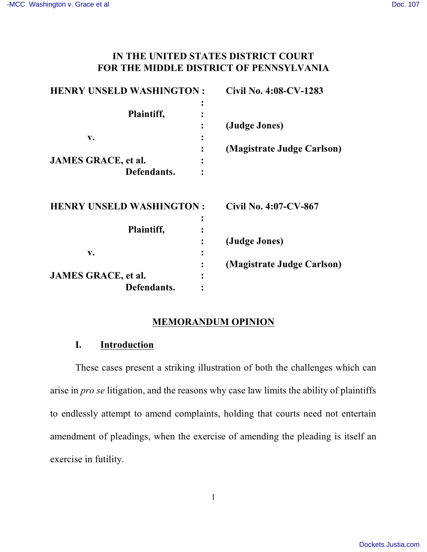# **IN THE UNITED STATES DISTRICT COURT FOR THE MIDDLE DISTRICT OF PENNSYLVANIA**

| <b>HENRY UNSELD WASHINGTON:</b> | Civil No. 4:08-CV-1283     |
|---------------------------------|----------------------------|
|                                 |                            |
| Plaintiff,                      |                            |
|                                 | (Judge Jones)              |
| v.                              |                            |
|                                 | (Magistrate Judge Carlson) |
| <b>JAMES GRACE, et al.</b>      |                            |
| Defendants.                     |                            |
| <b>HENRY UNSELD WASHINGTON:</b> | Civil No. 4:07-CV-867      |
|                                 |                            |
| Plaintiff,                      |                            |
|                                 | (Judge Jones)              |
| v.                              |                            |
|                                 | (Magistrate Judge Carlson) |
| <b>JAMES GRACE, et al.</b>      |                            |
| Defendants.                     |                            |

#### **MEMORANDUM OPINION**

## **I. Introduction**

These cases present a striking illustration of both the challenges which can arise in *pro se* litigation, and the reasons why case law limits the ability of plaintiffs to endlessly attempt to amend complaints, holding that courts need not entertain amendment of pleadings, when the exercise of amending the pleading is itself an exercise in futility.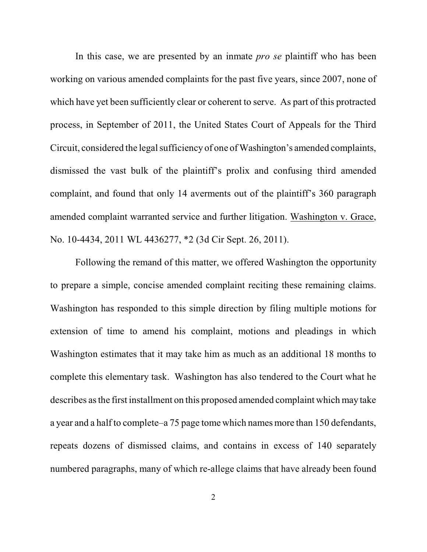In this case, we are presented by an inmate *pro se* plaintiff who has been working on various amended complaints for the past five years, since 2007, none of which have yet been sufficiently clear or coherent to serve. As part of this protracted process, in September of 2011, the United States Court of Appeals for the Third Circuit, considered the legal sufficiency of one of Washington's amended complaints, dismissed the vast bulk of the plaintiff's prolix and confusing third amended complaint, and found that only 14 averments out of the plaintiff's 360 paragraph amended complaint warranted service and further litigation. Washington v. Grace, No. 10-4434, 2011 WL 4436277, \*2 (3d Cir Sept. 26, 2011).

Following the remand of this matter, we offered Washington the opportunity to prepare a simple, concise amended complaint reciting these remaining claims. Washington has responded to this simple direction by filing multiple motions for extension of time to amend his complaint, motions and pleadings in which Washington estimates that it may take him as much as an additional 18 months to complete this elementary task. Washington has also tendered to the Court what he describes asthe first installment on this proposed amended complaint which may take a year and a half to complete–a 75 page tome which names more than 150 defendants, repeats dozens of dismissed claims, and contains in excess of 140 separately numbered paragraphs, many of which re-allege claims that have already been found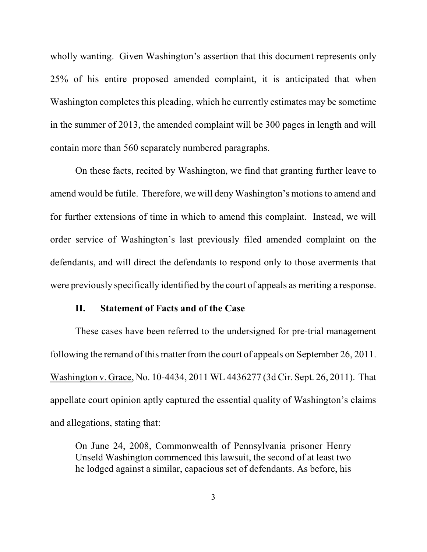wholly wanting. Given Washington's assertion that this document represents only 25% of his entire proposed amended complaint, it is anticipated that when Washington completes this pleading, which he currently estimates may be sometime in the summer of 2013, the amended complaint will be 300 pages in length and will contain more than 560 separately numbered paragraphs.

On these facts, recited by Washington, we find that granting further leave to amend would be futile. Therefore, we will deny Washington's motionsto amend and for further extensions of time in which to amend this complaint. Instead, we will order service of Washington's last previously filed amended complaint on the defendants, and will direct the defendants to respond only to those averments that were previously specifically identified by the court of appeals as meriting a response.

## **II. Statement of Facts and of the Case**

These cases have been referred to the undersigned for pre-trial management following the remand of this matter from the court of appeals on September 26, 2011. Washington v. Grace, No. 10-4434, 2011 WL 4436277 (3d Cir. Sept. 26, 2011). That appellate court opinion aptly captured the essential quality of Washington's claims and allegations, stating that:

On June 24, 2008, Commonwealth of Pennsylvania prisoner Henry Unseld Washington commenced this lawsuit, the second of at least two he lodged against a similar, capacious set of defendants. As before, his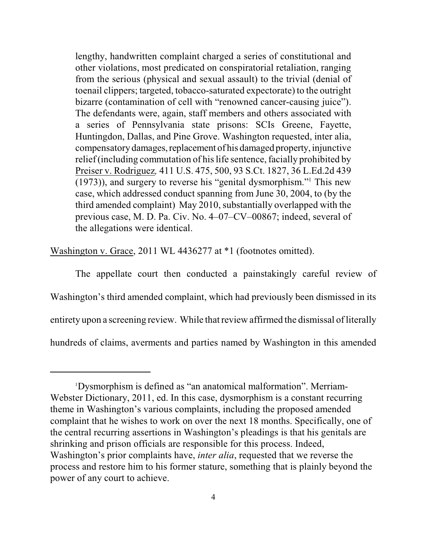lengthy, handwritten complaint charged a series of constitutional and other violations, most predicated on conspiratorial retaliation, ranging from the serious (physical and sexual assault) to the trivial (denial of toenail clippers; targeted, tobacco-saturated expectorate) to the outright bizarre (contamination of cell with "renowned cancer-causing juice"). The defendants were, again, staff members and others associated with a series of Pennsylvania state prisons: SCIs Greene, Fayette, Huntingdon, Dallas, and Pine Grove. Washington requested, inter alia, compensatory damages, replacement of his damaged property, injunctive relief (including commutation of his life sentence, facially prohibited by Preiser v. Rodriguez*,* 411 U.S. 475, 500, 93 S.Ct. 1827, 36 L.Ed.2d 439 (1973)), and surgery to reverse his "genital dysmorphism." This new 1 case, which addressed conduct spanning from June 30, 2004, to (by the third amended complaint) May 2010, substantially overlapped with the previous case, M. D. Pa. Civ. No. 4–07–CV–00867; indeed, several of the allegations were identical.

Washington v. Grace, 2011 WL 4436277 at \*1 (footnotes omitted).

The appellate court then conducted a painstakingly careful review of Washington's third amended complaint, which had previously been dismissed in its entirety upon a screening review. While that review affirmed the dismissal of literally hundreds of claims, averments and parties named by Washington in this amended

Dysmorphism is defined as "an anatomical malformation". Merriam-1 Webster Dictionary, 2011, ed. In this case, dysmorphism is a constant recurring theme in Washington's various complaints, including the proposed amended complaint that he wishes to work on over the next 18 months. Specifically, one of the central recurring assertions in Washington's pleadings is that his genitals are shrinking and prison officials are responsible for this process. Indeed, Washington's prior complaints have, *inter alia*, requested that we reverse the process and restore him to his former stature, something that is plainly beyond the power of any court to achieve.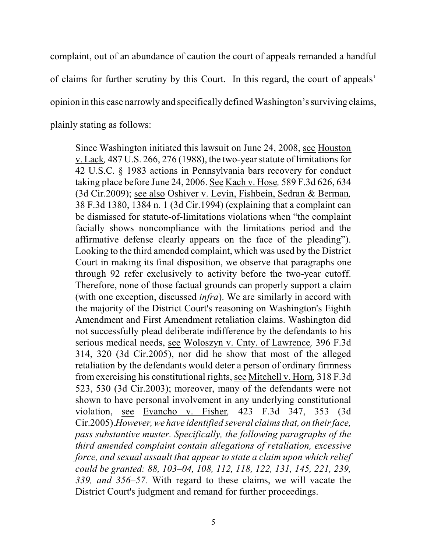complaint, out of an abundance of caution the court of appeals remanded a handful of claims for further scrutiny by this Court. In this regard, the court of appeals' opinion in this case narrowly and specifically defined Washington's surviving claims, plainly stating as follows:

Since Washington initiated this lawsuit on June 24, 2008, see Houston v. Lack*,* 487 U.S. 266, 276 (1988), the two-year statute of limitationsfor 42 U.S.C. § 1983 actions in Pennsylvania bars recovery for conduct taking place before June 24, 2006. See Kach v. Hose*,* 589 F.3d 626, 634 (3d Cir.2009); see also Oshiver v. Levin, Fishbein, Sedran & Berman*,* 38 F.3d 1380, 1384 n. 1 (3d Cir.1994) (explaining that a complaint can be dismissed for statute-of-limitations violations when "the complaint facially shows noncompliance with the limitations period and the affirmative defense clearly appears on the face of the pleading"). Looking to the third amended complaint, which was used by the District Court in making its final disposition, we observe that paragraphs one through 92 refer exclusively to activity before the two-year cutoff. Therefore, none of those factual grounds can properly support a claim (with one exception, discussed *infra*). We are similarly in accord with the majority of the District Court's reasoning on Washington's Eighth Amendment and First Amendment retaliation claims. Washington did not successfully plead deliberate indifference by the defendants to his serious medical needs, see Woloszyn v. Cnty. of Lawrence*,* 396 F.3d 314, 320 (3d Cir.2005), nor did he show that most of the alleged retaliation by the defendants would deter a person of ordinary firmness from exercising his constitutional rights, see Mitchell v. Horn*,* 318 F.3d 523, 530 (3d Cir.2003); moreover, many of the defendants were not shown to have personal involvement in any underlying constitutional violation, see Evancho v. Fisher*,* 423 F.3d 347, 353 (3d Cir.2005).*However,we have identified several claims that, on their face, pass substantive muster. Specifically, the following paragraphs of the third amended complaint contain allegations of retaliation, excessive force, and sexual assault that appear to state a claim upon which relief could be granted: 88, 103–04, 108, 112, 118, 122, 131, 145, 221, 239, 339, and 356–57.* With regard to these claims, we will vacate the District Court's judgment and remand for further proceedings.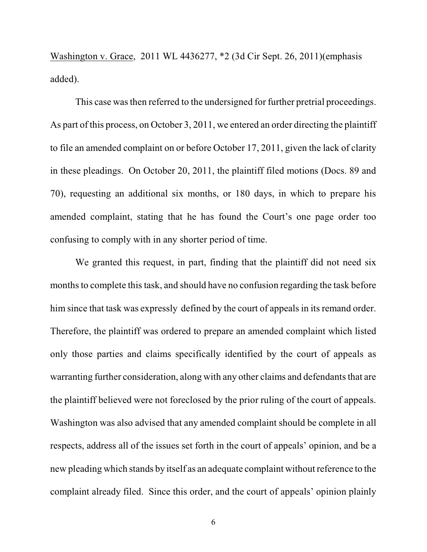Washington v. Grace, 2011 WL 4436277, \*2 (3d Cir Sept. 26, 2011)(emphasis added).

This case wasthen referred to the undersigned for further pretrial proceedings. As part of this process, on October 3, 2011, we entered an order directing the plaintiff to file an amended complaint on or before October 17, 2011, given the lack of clarity in these pleadings. On October 20, 2011, the plaintiff filed motions (Docs. 89 and 70), requesting an additional six months, or 180 days, in which to prepare his amended complaint, stating that he has found the Court's one page order too confusing to comply with in any shorter period of time.

We granted this request, in part, finding that the plaintiff did not need six months to complete this task, and should have no confusion regarding the task before him since that task was expressly defined by the court of appeals in its remand order. Therefore, the plaintiff was ordered to prepare an amended complaint which listed only those parties and claims specifically identified by the court of appeals as warranting further consideration, along with any other claims and defendants that are the plaintiff believed were not foreclosed by the prior ruling of the court of appeals. Washington was also advised that any amended complaint should be complete in all respects, address all of the issues set forth in the court of appeals' opinion, and be a new pleading which stands by itself as an adequate complaint without reference to the complaint already filed. Since this order, and the court of appeals' opinion plainly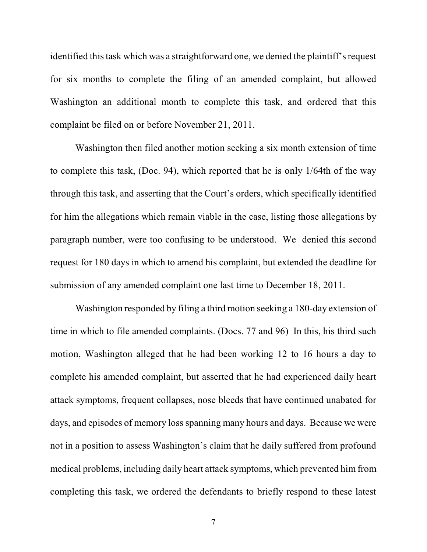identified thistask which was a straightforward one, we denied the plaintiff's request for six months to complete the filing of an amended complaint, but allowed Washington an additional month to complete this task, and ordered that this complaint be filed on or before November 21, 2011.

Washington then filed another motion seeking a six month extension of time to complete this task, (Doc. 94), which reported that he is only 1/64th of the way through this task, and asserting that the Court's orders, which specifically identified for him the allegations which remain viable in the case, listing those allegations by paragraph number, were too confusing to be understood. We denied this second request for 180 days in which to amend his complaint, but extended the deadline for submission of any amended complaint one last time to December 18, 2011.

Washington responded by filing a third motion seeking a 180-day extension of time in which to file amended complaints. (Docs. 77 and 96) In this, his third such motion, Washington alleged that he had been working 12 to 16 hours a day to complete his amended complaint, but asserted that he had experienced daily heart attack symptoms, frequent collapses, nose bleeds that have continued unabated for days, and episodes of memory loss spanning many hours and days. Because we were not in a position to assess Washington's claim that he daily suffered from profound medical problems, including daily heart attack symptoms, which prevented him from completing this task, we ordered the defendants to briefly respond to these latest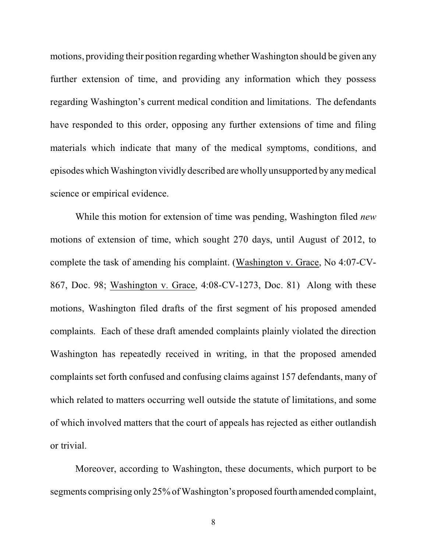motions, providing their position regarding whether Washington should be given any further extension of time, and providing any information which they possess regarding Washington's current medical condition and limitations. The defendants have responded to this order, opposing any further extensions of time and filing materials which indicate that many of the medical symptoms, conditions, and episodeswhich Washington vividly described are wholly unsupported by anymedical science or empirical evidence.

While this motion for extension of time was pending, Washington filed *new* motions of extension of time, which sought 270 days, until August of 2012, to complete the task of amending his complaint. (Washington v. Grace, No 4:07-CV-867, Doc. 98; Washington v. Grace, 4:08-CV-1273, Doc. 81) Along with these motions, Washington filed drafts of the first segment of his proposed amended complaints. Each of these draft amended complaints plainly violated the direction Washington has repeatedly received in writing, in that the proposed amended complaints set forth confused and confusing claims against 157 defendants, many of which related to matters occurring well outside the statute of limitations, and some of which involved matters that the court of appeals has rejected as either outlandish or trivial.

Moreover, according to Washington, these documents, which purport to be segments comprising only 25% of Washington's proposed fourth amended complaint,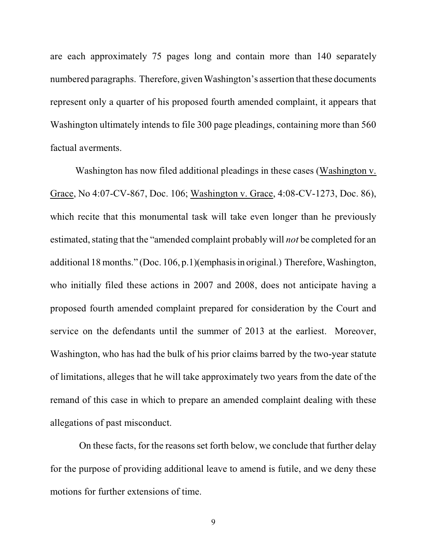are each approximately 75 pages long and contain more than 140 separately numbered paragraphs. Therefore, given Washington's assertion that these documents represent only a quarter of his proposed fourth amended complaint, it appears that Washington ultimately intends to file 300 page pleadings, containing more than 560 factual averments.

Washington has now filed additional pleadings in these cases (Washington v. Grace, No 4:07-CV-867, Doc. 106; Washington v. Grace, 4:08-CV-1273, Doc. 86), which recite that this monumental task will take even longer than he previously estimated, stating that the "amended complaint probably will *not* be completed for an additional 18 months." (Doc. 106, p.1)(emphasisin original.) Therefore, Washington, who initially filed these actions in 2007 and 2008, does not anticipate having a proposed fourth amended complaint prepared for consideration by the Court and service on the defendants until the summer of 2013 at the earliest. Moreover, Washington, who has had the bulk of his prior claims barred by the two-year statute of limitations, alleges that he will take approximately two years from the date of the remand of this case in which to prepare an amended complaint dealing with these allegations of past misconduct.

On these facts, for the reasons set forth below, we conclude that further delay for the purpose of providing additional leave to amend is futile, and we deny these motions for further extensions of time.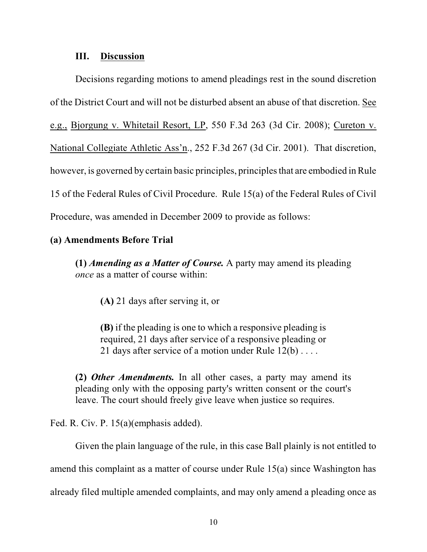### **III. Discussion**

Decisions regarding motions to amend pleadings rest in the sound discretion of the District Court and will not be disturbed absent an abuse of that discretion. See e.g., Bjorgung v. Whitetail Resort, LP, 550 F.3d 263 (3d Cir. 2008); Cureton v. National Collegiate Athletic Ass'n., 252 F.3d 267 (3d Cir. 2001). That discretion, however, is governed by certain basic principles, principles that are embodied in Rule 15 of the Federal Rules of Civil Procedure. Rule 15(a) of the Federal Rules of Civil Procedure, was amended in December 2009 to provide as follows:

### **(a) Amendments Before Trial**

**(1)** *Amending as a Matter of Course.* A party may amend its pleading *once* as a matter of course within:

**(A)** 21 days after serving it, or

**(B)** if the pleading is one to which a responsive pleading is required, 21 days after service of a responsive pleading or 21 days after service of a motion under Rule 12(b) . . . .

**(2)** *Other Amendments.* In all other cases, a party may amend its pleading only with the opposing party's written consent or the court's leave. The court should freely give leave when justice so requires.

Fed. R. Civ. P. 15(a)(emphasis added).

Given the plain language of the rule, in this case Ball plainly is not entitled to amend this complaint as a matter of course under Rule 15(a) since Washington has already filed multiple amended complaints, and may only amend a pleading once as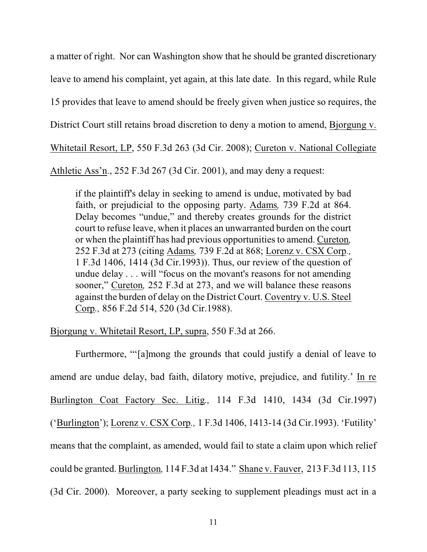a matter of right. Nor can Washington show that he should be granted discretionary leave to amend his complaint, yet again, at this late date. In this regard, while Rule 15 provides that leave to amend should be freely given when justice so requires, the District Court still retains broad discretion to deny a motion to amend, Bjorgung v. Whitetail Resort, LP, 550 F.3d 263 (3d Cir. 2008); Cureton v. National Collegiate Athletic Ass'n., 252 F.3d 267 (3d Cir. 2001), and may deny a request:

if the plaintiff's delay in seeking to amend is undue, motivated by bad faith, or prejudicial to the opposing party. Adams*,* 739 F.2d at 864. Delay becomes "undue," and thereby creates grounds for the district court to refuse leave, when it places an unwarranted burden on the court or when the plaintiff has had previous opportunities to amend. Cureton*,* 252 F.3d at 273 (citing Adams*,* 739 F.2d at 868; Lorenz v. CSX Corp*.,* 1 F.3d 1406, 1414 (3d Cir.1993)). Thus, our review of the question of undue delay . . . will "focus on the movant's reasons for not amending sooner," Cureton*,* 252 F.3d at 273, and we will balance these reasons against the burden of delay on the District Court. Coventry v. U.S. Steel Corp*.,* 856 F.2d 514, 520 (3d Cir.1988).

Bjorgung v. Whitetail Resort, LP, supra, 550 F.3d at 266.

Furthermore, "'[a]mong the grounds that could justify a denial of leave to amend are undue delay, bad faith, dilatory motive, prejudice, and futility.' In re Burlington Coat Factory Sec. Litig*.,* 114 F.3d 1410, 1434 (3d Cir.1997) ('Burlington'); Lorenz v. CSX Corp*.,* 1 F.3d 1406, 1413-14 (3d Cir.1993). 'Futility' means that the complaint, as amended, would fail to state a claim upon which relief could be granted. Burlington*,* 114 F.3d at 1434." Shane v. Fauver, 213 F.3d 113, 115 (3d Cir. 2000). Moreover, a party seeking to supplement pleadings must act in a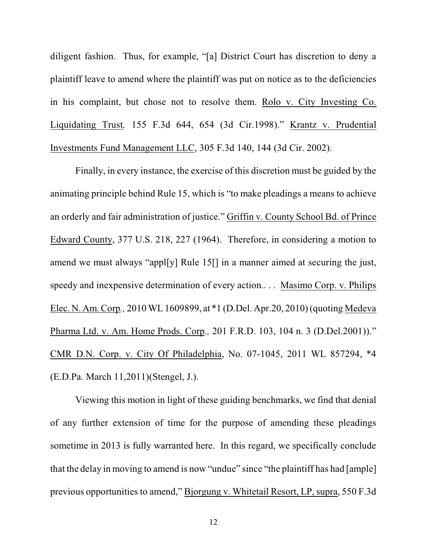diligent fashion. Thus, for example, "[a] District Court has discretion to deny a plaintiff leave to amend where the plaintiff was put on notice as to the deficiencies in his complaint, but chose not to resolve them. Rolo v. City Investing Co. Liquidating Trust*,* 155 F.3d 644, 654 (3d Cir.1998)." Krantz v. Prudential Investments Fund Management LLC, 305 F.3d 140, 144 (3d Cir. 2002).

Finally, in every instance, the exercise of this discretion must be guided by the animating principle behind Rule 15, which is "to make pleadings a means to achieve an orderly and fair administration of justice." Griffin v. County School Bd. of Prince Edward County, 377 U.S. 218, 227 (1964). Therefore, in considering a motion to amend we must always "appl[y] Rule 15[] in a manner aimed at securing the just, speedy and inexpensive determination of every action.. . . Masimo Corp. v. Philips Elec. N. Am. Corp*.,* 2010 WL 1609899, at \*1 (D.Del. Apr.20, 2010) (quoting Medeva Pharma Ltd. v. Am. Home Prods. Corp*.,* 201 F.R.D. 103, 104 n. 3 (D.Del.2001))." CMR D.N. Corp. v. City Of Philadelphia, No. 07-1045, 2011 WL 857294, \*4 (E.D.Pa. March 11,2011)(Stengel, J.).

Viewing this motion in light of these guiding benchmarks, we find that denial of any further extension of time for the purpose of amending these pleadings sometime in 2013 is fully warranted here. In this regard, we specifically conclude that the delay in moving to amend is now "undue" since "the plaintiff has had [ample] previous opportunities to amend," Bjorgung v. Whitetail Resort, LP, supra, 550 F.3d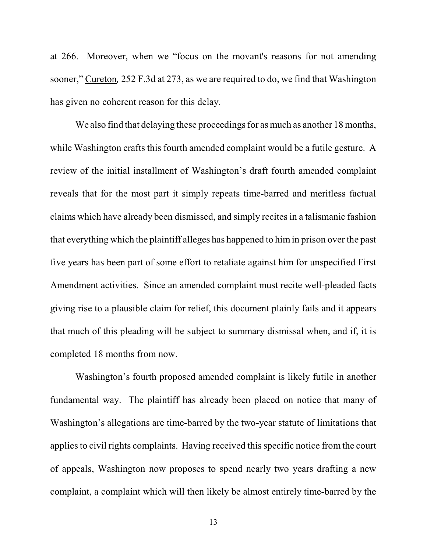at 266. Moreover, when we "focus on the movant's reasons for not amending sooner," Cureton*,* 252 F.3d at 273, as we are required to do, we find that Washington has given no coherent reason for this delay.

We also find that delaying these proceedings for as much as another 18 months, while Washington crafts this fourth amended complaint would be a futile gesture. A review of the initial installment of Washington's draft fourth amended complaint reveals that for the most part it simply repeats time-barred and meritless factual claims which have already been dismissed, and simply recites in a talismanic fashion that everything which the plaintiff alleges has happened to himin prison over the past five years has been part of some effort to retaliate against him for unspecified First Amendment activities. Since an amended complaint must recite well-pleaded facts giving rise to a plausible claim for relief, this document plainly fails and it appears that much of this pleading will be subject to summary dismissal when, and if, it is completed 18 months from now.

Washington's fourth proposed amended complaint is likely futile in another fundamental way. The plaintiff has already been placed on notice that many of Washington's allegations are time-barred by the two-year statute of limitations that applies to civil rights complaints. Having received this specific notice from the court of appeals, Washington now proposes to spend nearly two years drafting a new complaint, a complaint which will then likely be almost entirely time-barred by the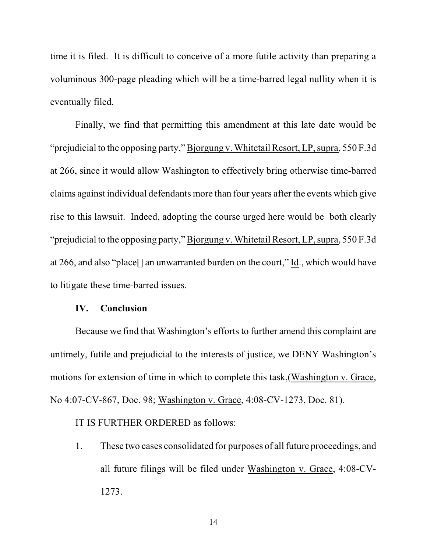time it is filed. It is difficult to conceive of a more futile activity than preparing a voluminous 300-page pleading which will be a time-barred legal nullity when it is eventually filed.

Finally, we find that permitting this amendment at this late date would be "prejudicial to the opposing party," Bjorgung v. Whitetail Resort, LP, supra, 550 F.3d at 266, since it would allow Washington to effectively bring otherwise time-barred claims against individual defendants more than four years after the events which give rise to this lawsuit. Indeed, adopting the course urged here would be both clearly "prejudicial to the opposing party," Bjorgung v. Whitetail Resort, LP, supra, 550 F.3d at 266, and also "place[] an unwarranted burden on the court," Id., which would have to litigate these time-barred issues.

#### **IV. Conclusion**

Because we find that Washington's efforts to further amend this complaint are untimely, futile and prejudicial to the interests of justice, we DENY Washington's motions for extension of time in which to complete this task,(Washington v. Grace, No 4:07-CV-867, Doc. 98; Washington v. Grace, 4:08-CV-1273, Doc. 81).

# IT IS FURTHER ORDERED as follows:

1. These two cases consolidated for purposes of all future proceedings, and all future filings will be filed under Washington v. Grace, 4:08-CV-1273.

14